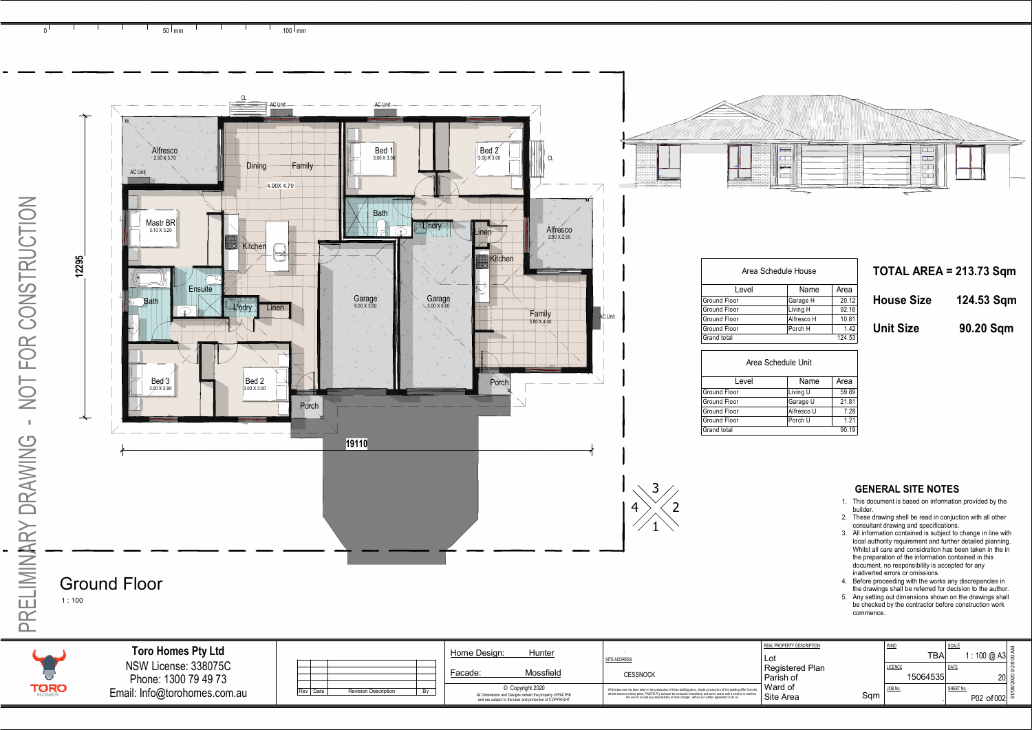|                                                                                                                      |                                                                                                                                                                                                                                                             | REAL PROPERTY DESCRIPTION | <b>WIND</b>      | <b>SCALE</b>             |  |
|----------------------------------------------------------------------------------------------------------------------|-------------------------------------------------------------------------------------------------------------------------------------------------------------------------------------------------------------------------------------------------------------|---------------------------|------------------|--------------------------|--|
| Desian:<br>Hunter                                                                                                    | SITE ADDRESS                                                                                                                                                                                                                                                | Lot                       | TBA <sub>I</sub> | 1 : 100 @ A3 a           |  |
|                                                                                                                      |                                                                                                                                                                                                                                                             | Registered Plan           | <b>LICENCE</b>   | DATE                     |  |
| Mossfield                                                                                                            | <b>CESSNOCK</b>                                                                                                                                                                                                                                             | Parish of                 | 15064535         | $20$ as                  |  |
| © Copyright 2020                                                                                                     | Whilst due care has been taken in the preparation of these building plans, should construction of this dwelling differ from the<br>details shown on these plans, PACIFIK Pty Ltd must be contacted immediately and works cease until a solution is reached. | Ward of                   | JOB No.          | SHEET No.                |  |
| All Dimensions and Designs remain the property of PACIFIK<br>and are subject to the laws and protection of COPYRIGHT | We will not accept any responsibility or back charges without our written agreement to do so.                                                                                                                                                               | Sqm<br>Site Area          |                  | P02 of 002 $\frac{5}{6}$ |  |

| lule House |  |  |  |
|------------|--|--|--|
|            |  |  |  |

| Name       | Area  |
|------------|-------|
| Garage H   | 20.12 |
| Living H   | 92.18 |
| Alfresco H | 10.81 |
| Porch H    | 1.42  |
|            | 53    |

| Name       | Area  |
|------------|-------|
| Living U   | 59.89 |
| Garage U   | 21.81 |
| Alfresco U | 7.28  |
| Porch U    | 1.21  |
|            |       |

| House Size | 124.53 Sqm |
|------------|------------|
|            |            |

- 
- 
- 
- 
- 

<span id="page-0-0"></span>

PRELIMINARY DRAWING - NOT FOR CONSTRUCTION

PRELIMINARY DRAWING - NOT FOR CONSTRUCTION

|     |      |                             |  | HUI<br>пе |
|-----|------|-----------------------------|--|-----------|
|     |      |                             |  | Faca      |
| Rev | Date | <b>Revision Description</b> |  |           |
|     |      |                             |  |           |

| NSW License: 338075C         |
|------------------------------|
| Phone: 1300 79 49 73         |
| Email: Info@torohomes.com.au |